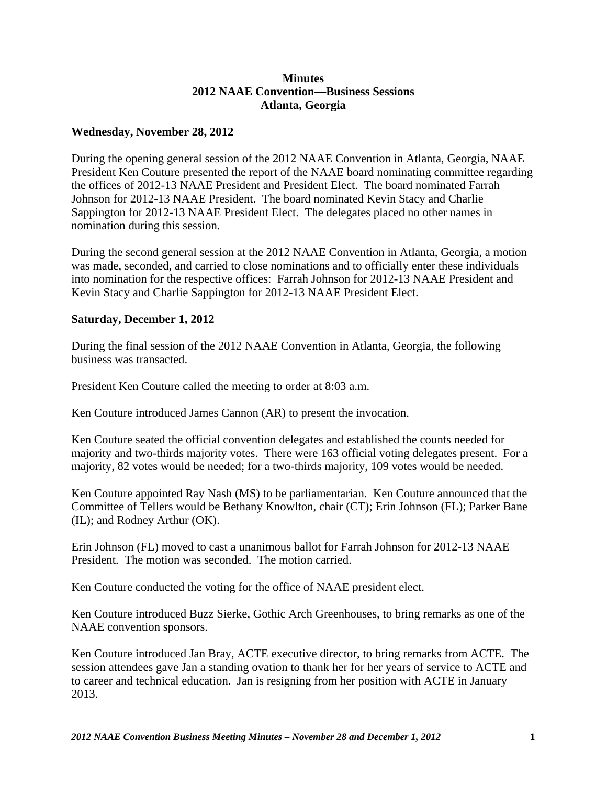## **Minutes 2012 NAAE Convention—Business Sessions Atlanta, Georgia**

## **Wednesday, November 28, 2012**

During the opening general session of the 2012 NAAE Convention in Atlanta, Georgia, NAAE President Ken Couture presented the report of the NAAE board nominating committee regarding the offices of 2012-13 NAAE President and President Elect. The board nominated Farrah Johnson for 2012-13 NAAE President. The board nominated Kevin Stacy and Charlie Sappington for 2012-13 NAAE President Elect. The delegates placed no other names in nomination during this session.

During the second general session at the 2012 NAAE Convention in Atlanta, Georgia, a motion was made, seconded, and carried to close nominations and to officially enter these individuals into nomination for the respective offices: Farrah Johnson for 2012-13 NAAE President and Kevin Stacy and Charlie Sappington for 2012-13 NAAE President Elect.

## **Saturday, December 1, 2012**

During the final session of the 2012 NAAE Convention in Atlanta, Georgia, the following business was transacted.

President Ken Couture called the meeting to order at 8:03 a.m.

Ken Couture introduced James Cannon (AR) to present the invocation.

Ken Couture seated the official convention delegates and established the counts needed for majority and two-thirds majority votes. There were 163 official voting delegates present. For a majority, 82 votes would be needed; for a two-thirds majority, 109 votes would be needed.

Ken Couture appointed Ray Nash (MS) to be parliamentarian. Ken Couture announced that the Committee of Tellers would be Bethany Knowlton, chair (CT); Erin Johnson (FL); Parker Bane (IL); and Rodney Arthur (OK).

Erin Johnson (FL) moved to cast a unanimous ballot for Farrah Johnson for 2012-13 NAAE President. The motion was seconded. The motion carried.

Ken Couture conducted the voting for the office of NAAE president elect.

Ken Couture introduced Buzz Sierke, Gothic Arch Greenhouses, to bring remarks as one of the NAAE convention sponsors.

Ken Couture introduced Jan Bray, ACTE executive director, to bring remarks from ACTE. The session attendees gave Jan a standing ovation to thank her for her years of service to ACTE and to career and technical education. Jan is resigning from her position with ACTE in January 2013.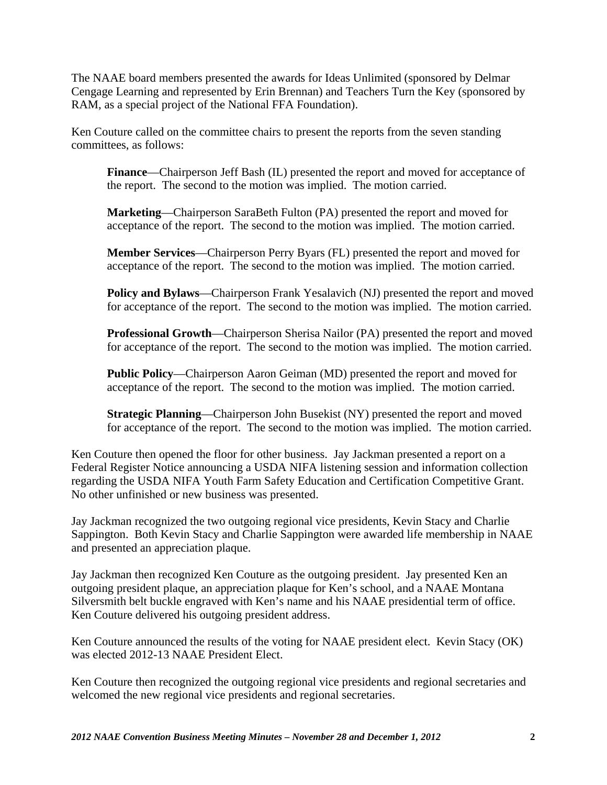The NAAE board members presented the awards for Ideas Unlimited (sponsored by Delmar Cengage Learning and represented by Erin Brennan) and Teachers Turn the Key (sponsored by RAM, as a special project of the National FFA Foundation).

Ken Couture called on the committee chairs to present the reports from the seven standing committees, as follows:

**Finance**—Chairperson Jeff Bash (IL) presented the report and moved for acceptance of the report. The second to the motion was implied. The motion carried.

**Marketing**—Chairperson SaraBeth Fulton (PA) presented the report and moved for acceptance of the report. The second to the motion was implied. The motion carried.

**Member Services**—Chairperson Perry Byars (FL) presented the report and moved for acceptance of the report. The second to the motion was implied. The motion carried.

**Policy and Bylaws**—Chairperson Frank Yesalavich (NJ) presented the report and moved for acceptance of the report. The second to the motion was implied. The motion carried.

**Professional Growth**—Chairperson Sherisa Nailor (PA) presented the report and moved for acceptance of the report. The second to the motion was implied. The motion carried.

**Public Policy**—Chairperson Aaron Geiman (MD) presented the report and moved for acceptance of the report. The second to the motion was implied. The motion carried.

**Strategic Planning**—Chairperson John Busekist (NY) presented the report and moved for acceptance of the report. The second to the motion was implied. The motion carried.

Ken Couture then opened the floor for other business. Jay Jackman presented a report on a Federal Register Notice announcing a USDA NIFA listening session and information collection regarding the USDA NIFA Youth Farm Safety Education and Certification Competitive Grant. No other unfinished or new business was presented.

Jay Jackman recognized the two outgoing regional vice presidents, Kevin Stacy and Charlie Sappington. Both Kevin Stacy and Charlie Sappington were awarded life membership in NAAE and presented an appreciation plaque.

Jay Jackman then recognized Ken Couture as the outgoing president. Jay presented Ken an outgoing president plaque, an appreciation plaque for Ken's school, and a NAAE Montana Silversmith belt buckle engraved with Ken's name and his NAAE presidential term of office. Ken Couture delivered his outgoing president address.

Ken Couture announced the results of the voting for NAAE president elect. Kevin Stacy (OK) was elected 2012-13 NAAE President Elect.

Ken Couture then recognized the outgoing regional vice presidents and regional secretaries and welcomed the new regional vice presidents and regional secretaries.